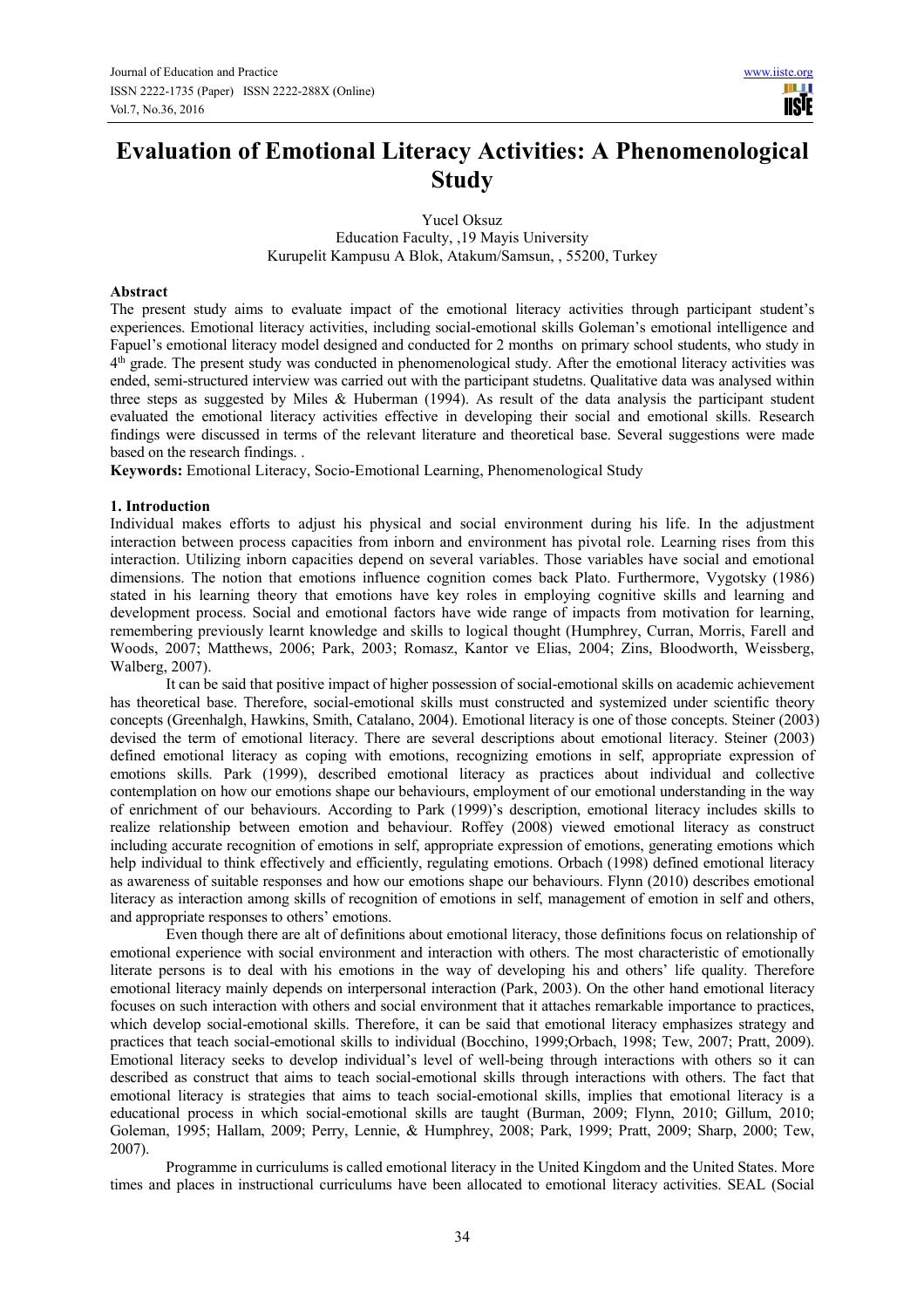**TISIE** 

# **Evaluation of Emotional Literacy Activities: A Phenomenological Study**

Yucel Oksuz Education Faculty, ,19 Mayis University Kurupelit Kampusu A Blok, Atakum/Samsun, , 55200, Turkey

#### **Abstract**

The present study aims to evaluate impact of the emotional literacy activities through participant student's experiences. Emotional literacy activities, including social-emotional skills Goleman's emotional intelligence and Fapuel's emotional literacy model designed and conducted for 2 months on primary school students, who study in 4<sup>th</sup> grade. The present study was conducted in phenomenological study. After the emotional literacy activities was ended, semi-structured interview was carried out with the participant studetns. Qualitative data was analysed within three steps as suggested by Miles & Huberman (1994). As result of the data analysis the participant student evaluated the emotional literacy activities effective in developing their social and emotional skills. Research findings were discussed in terms of the relevant literature and theoretical base. Several suggestions were made based on the research findings. .

**Keywords:** Emotional Literacy, Socio-Emotional Learning, Phenomenological Study

#### **1. Introduction**

Individual makes efforts to adjust his physical and social environment during his life. In the adjustment interaction between process capacities from inborn and environment has pivotal role. Learning rises from this interaction. Utilizing inborn capacities depend on several variables. Those variables have social and emotional dimensions. The notion that emotions influence cognition comes back Plato. Furthermore, Vygotsky (1986) stated in his learning theory that emotions have key roles in employing cognitive skills and learning and development process. Social and emotional factors have wide range of impacts from motivation for learning, remembering previously learnt knowledge and skills to logical thought (Humphrey, Curran, Morris, Farell and Woods, 2007; Matthews, 2006; Park, 2003; Romasz, Kantor ve Elias, 2004; Zins, Bloodworth, Weissberg, Walberg, 2007).

It can be said that positive impact of higher possession of social-emotional skills on academic achievement has theoretical base. Therefore, social-emotional skills must constructed and systemized under scientific theory concepts (Greenhalgh, Hawkins, Smith, Catalano, 2004). Emotional literacy is one of those concepts. Steiner (2003) devised the term of emotional literacy. There are several descriptions about emotional literacy. Steiner (2003) defined emotional literacy as coping with emotions, recognizing emotions in self, appropriate expression of emotions skills. Park (1999), described emotional literacy as practices about individual and collective contemplation on how our emotions shape our behaviours, employment of our emotional understanding in the way of enrichment of our behaviours. According to Park (1999)'s description, emotional literacy includes skills to realize relationship between emotion and behaviour. Roffey (2008) viewed emotional literacy as construct including accurate recognition of emotions in self, appropriate expression of emotions, generating emotions which help individual to think effectively and efficiently, regulating emotions. Orbach (1998) defined emotional literacy as awareness of suitable responses and how our emotions shape our behaviours. Flynn (2010) describes emotional literacy as interaction among skills of recognition of emotions in self, management of emotion in self and others, and appropriate responses to others' emotions.

Even though there are alt of definitions about emotional literacy, those definitions focus on relationship of emotional experience with social environment and interaction with others. The most characteristic of emotionally literate persons is to deal with his emotions in the way of developing his and others' life quality. Therefore emotional literacy mainly depends on interpersonal interaction (Park, 2003). On the other hand emotional literacy focuses on such interaction with others and social environment that it attaches remarkable importance to practices, which develop social-emotional skills. Therefore, it can be said that emotional literacy emphasizes strategy and practices that teach social-emotional skills to individual (Bocchino, 1999;Orbach, 1998; Tew, 2007; Pratt, 2009). Emotional literacy seeks to develop individual's level of well-being through interactions with others so it can described as construct that aims to teach social-emotional skills through interactions with others. The fact that emotional literacy is strategies that aims to teach social-emotional skills, implies that emotional literacy is a educational process in which social-emotional skills are taught (Burman, 2009; Flynn, 2010; Gillum, 2010; Goleman, 1995; Hallam, 2009; Perry, Lennie, & Humphrey, 2008; Park, 1999; Pratt, 2009; Sharp, 2000; Tew, 2007).

Programme in curriculums is called emotional literacy in the United Kingdom and the United States. More times and places in instructional curriculums have been allocated to emotional literacy activities. SEAL (Social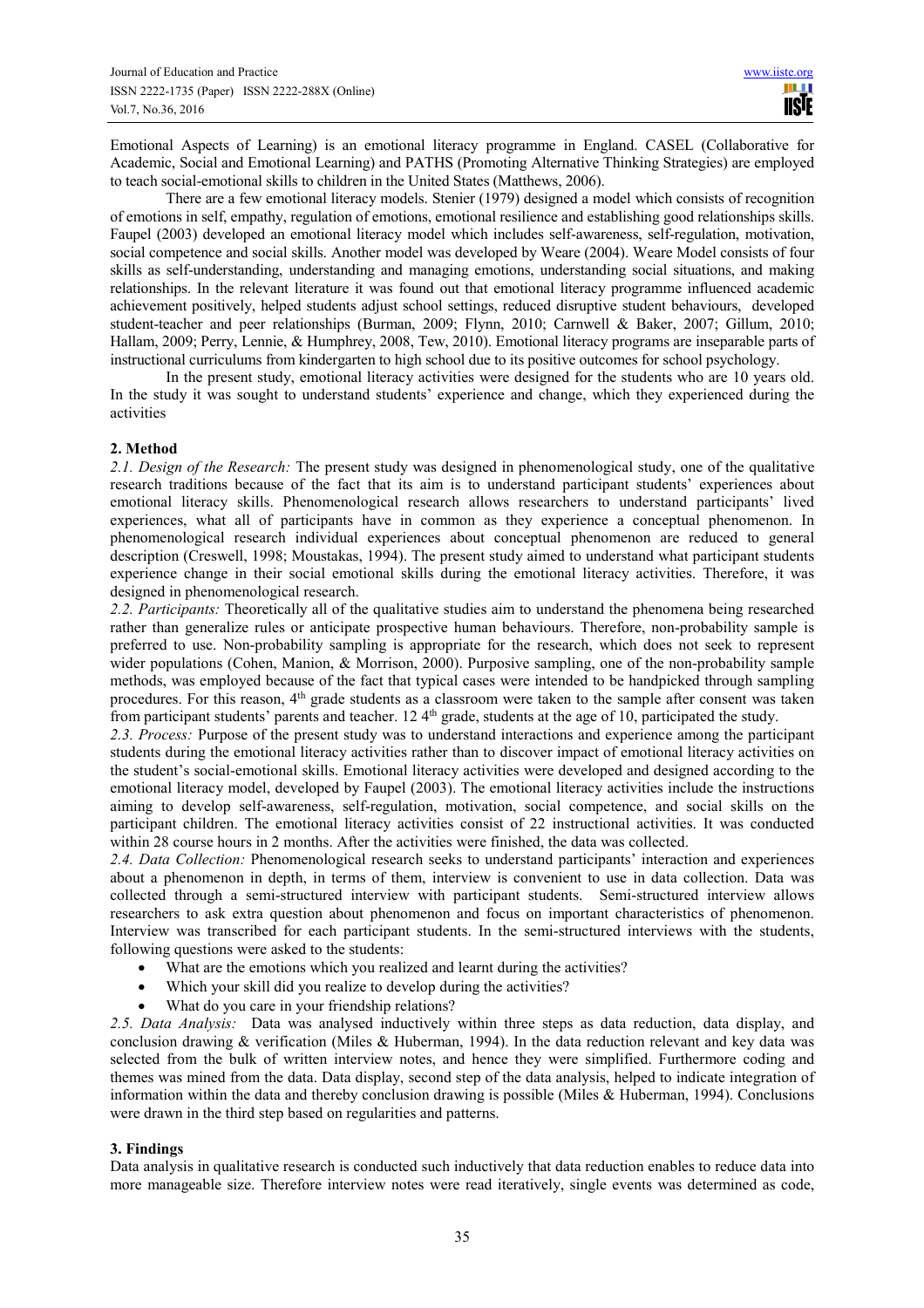Emotional Aspects of Learning) is an emotional literacy programme in England. CASEL (Collaborative for Academic, Social and Emotional Learning) and PATHS (Promoting Alternative Thinking Strategies) are employed to teach social-emotional skills to children in the United States (Matthews, 2006).

There are a few emotional literacy models. Stenier (1979) designed a model which consists of recognition of emotions in self, empathy, regulation of emotions, emotional resilience and establishing good relationships skills. Faupel (2003) developed an emotional literacy model which includes self-awareness, self-regulation, motivation, social competence and social skills. Another model was developed by Weare (2004). Weare Model consists of four skills as self-understanding, understanding and managing emotions, understanding social situations, and making relationships. In the relevant literature it was found out that emotional literacy programme influenced academic achievement positively, helped students adjust school settings, reduced disruptive student behaviours, developed student-teacher and peer relationships (Burman, 2009; Flynn, 2010; Carnwell & Baker, 2007; Gillum, 2010; Hallam, 2009; Perry, Lennie, & Humphrey, 2008, Tew, 2010). Emotional literacy programs are inseparable parts of instructional curriculums from kindergarten to high school due to its positive outcomes for school psychology.

 In the present study, emotional literacy activities were designed for the students who are 10 years old. In the study it was sought to understand students' experience and change, which they experienced during the activities

# **2. Method**

*2.1. Design of the Research:* The present study was designed in phenomenological study, one of the qualitative research traditions because of the fact that its aim is to understand participant students' experiences about emotional literacy skills. Phenomenological research allows researchers to understand participants' lived experiences, what all of participants have in common as they experience a conceptual phenomenon. In phenomenological research individual experiences about conceptual phenomenon are reduced to general description (Creswell, 1998; Moustakas, 1994). The present study aimed to understand what participant students experience change in their social emotional skills during the emotional literacy activities. Therefore, it was designed in phenomenological research.

*2.2. Participants:* Theoretically all of the qualitative studies aim to understand the phenomena being researched rather than generalize rules or anticipate prospective human behaviours. Therefore, non-probability sample is preferred to use. Non-probability sampling is appropriate for the research, which does not seek to represent wider populations (Cohen, Manion, & Morrison, 2000). Purposive sampling, one of the non-probability sample methods, was employed because of the fact that typical cases were intended to be handpicked through sampling procedures. For this reason, 4<sup>th</sup> grade students as a classroom were taken to the sample after consent was taken from participant students' parents and teacher. 12 4<sup>th</sup> grade, students at the age of 10, participated the study.

*2.3. Process:* Purpose of the present study was to understand interactions and experience among the participant students during the emotional literacy activities rather than to discover impact of emotional literacy activities on the student's social-emotional skills. Emotional literacy activities were developed and designed according to the emotional literacy model, developed by Faupel (2003). The emotional literacy activities include the instructions aiming to develop self-awareness, self-regulation, motivation, social competence, and social skills on the participant children. The emotional literacy activities consist of 22 instructional activities. It was conducted within 28 course hours in 2 months. After the activities were finished, the data was collected.

*2.4. Data Collection:* Phenomenological research seeks to understand participants' interaction and experiences about a phenomenon in depth, in terms of them, interview is convenient to use in data collection. Data was collected through a semi-structured interview with participant students. Semi-structured interview allows researchers to ask extra question about phenomenon and focus on important characteristics of phenomenon. Interview was transcribed for each participant students. In the semi-structured interviews with the students, following questions were asked to the students:

- What are the emotions which you realized and learnt during the activities?
- Which your skill did you realize to develop during the activities?
- What do you care in your friendship relations?

*2.5. Data Analysis:* Data was analysed inductively within three steps as data reduction, data display, and conclusion drawing & verification (Miles & Huberman, 1994). In the data reduction relevant and key data was selected from the bulk of written interview notes, and hence they were simplified. Furthermore coding and themes was mined from the data. Data display, second step of the data analysis, helped to indicate integration of information within the data and thereby conclusion drawing is possible (Miles & Huberman, 1994). Conclusions were drawn in the third step based on regularities and patterns.

## **3. Findings**

Data analysis in qualitative research is conducted such inductively that data reduction enables to reduce data into more manageable size. Therefore interview notes were read iteratively, single events was determined as code,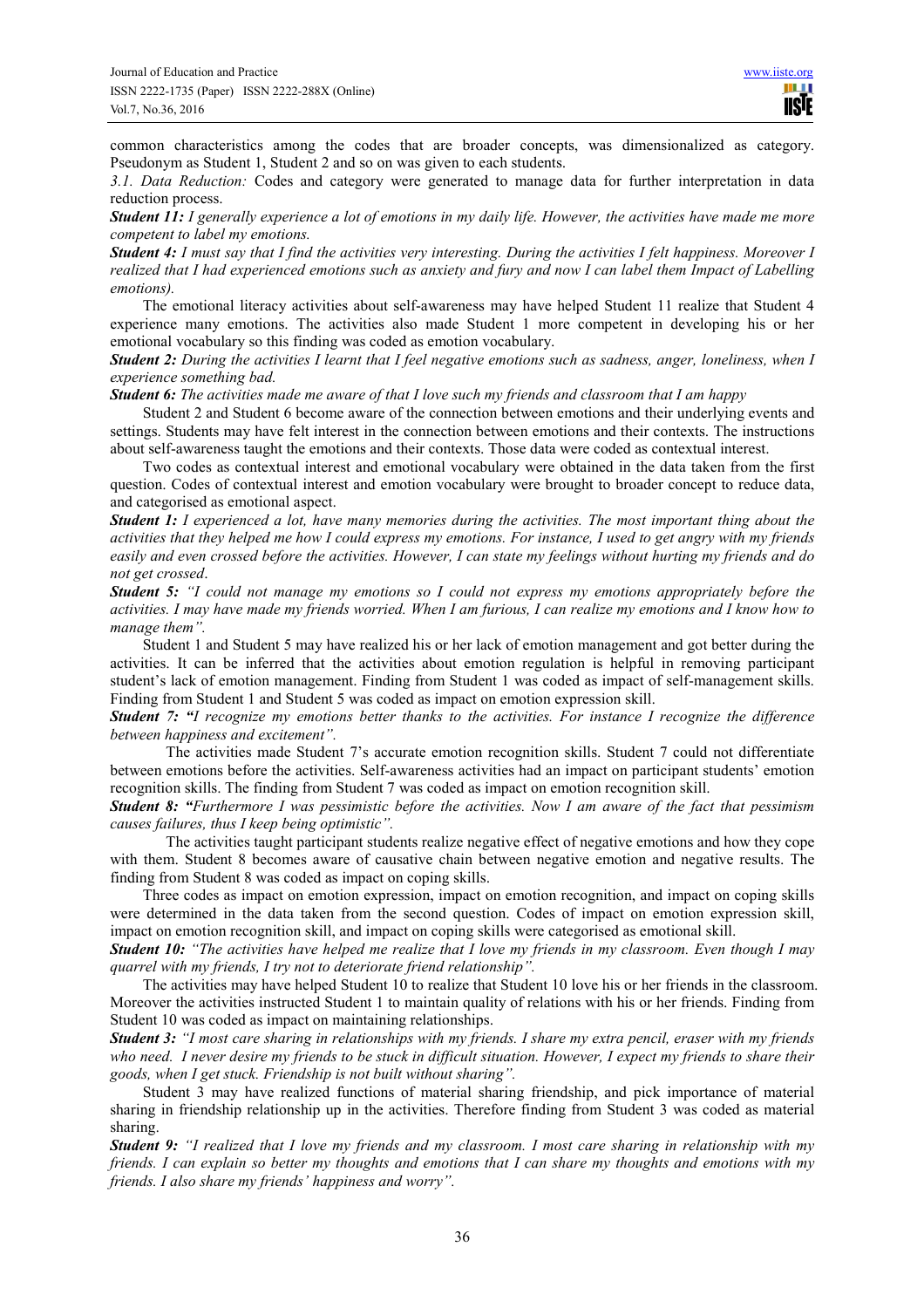common characteristics among the codes that are broader concepts, was dimensionalized as category. Pseudonym as Student 1, Student 2 and so on was given to each students.

*3.1. Data Reduction:* Codes and category were generated to manage data for further interpretation in data reduction process.

*Student 11: I generally experience a lot of emotions in my daily life. However, the activities have made me more competent to label my emotions.* 

*Student 4: I must say that I find the activities very interesting. During the activities I felt happiness. Moreover I realized that I had experienced emotions such as anxiety and fury and now I can label them Impact of Labelling emotions).* 

The emotional literacy activities about self-awareness may have helped Student 11 realize that Student 4 experience many emotions. The activities also made Student 1 more competent in developing his or her emotional vocabulary so this finding was coded as emotion vocabulary.

*Student 2: During the activities I learnt that I feel negative emotions such as sadness, anger, loneliness, when I experience something bad.* 

*Student 6: The activities made me aware of that I love such my friends and classroom that I am happy* 

Student 2 and Student 6 become aware of the connection between emotions and their underlying events and settings. Students may have felt interest in the connection between emotions and their contexts. The instructions about self-awareness taught the emotions and their contexts. Those data were coded as contextual interest.

Two codes as contextual interest and emotional vocabulary were obtained in the data taken from the first question. Codes of contextual interest and emotion vocabulary were brought to broader concept to reduce data, and categorised as emotional aspect.

*Student 1: I experienced a lot, have many memories during the activities. The most important thing about the activities that they helped me how I could express my emotions. For instance, I used to get angry with my friends easily and even crossed before the activities. However, I can state my feelings without hurting my friends and do not get crossed*.

*Student 5: "I could not manage my emotions so I could not express my emotions appropriately before the activities. I may have made my friends worried. When I am furious, I can realize my emotions and I know how to manage them".*

Student 1 and Student 5 may have realized his or her lack of emotion management and got better during the activities. It can be inferred that the activities about emotion regulation is helpful in removing participant student's lack of emotion management. Finding from Student 1 was coded as impact of self-management skills. Finding from Student 1 and Student 5 was coded as impact on emotion expression skill.

*Student 7: "I recognize my emotions better thanks to the activities. For instance I recognize the difference between happiness and excitement".* 

 The activities made Student 7's accurate emotion recognition skills. Student 7 could not differentiate between emotions before the activities. Self-awareness activities had an impact on participant students' emotion recognition skills. The finding from Student 7 was coded as impact on emotion recognition skill.

*Student 8: "Furthermore I was pessimistic before the activities. Now I am aware of the fact that pessimism causes failures, thus I keep being optimistic".* 

 The activities taught participant students realize negative effect of negative emotions and how they cope with them. Student 8 becomes aware of causative chain between negative emotion and negative results. The finding from Student 8 was coded as impact on coping skills.

Three codes as impact on emotion expression, impact on emotion recognition, and impact on coping skills were determined in the data taken from the second question. Codes of impact on emotion expression skill, impact on emotion recognition skill, and impact on coping skills were categorised as emotional skill.

*Student 10: "The activities have helped me realize that I love my friends in my classroom. Even though I may quarrel with my friends, I try not to deteriorate friend relationship".* 

The activities may have helped Student 10 to realize that Student 10 love his or her friends in the classroom. Moreover the activities instructed Student 1 to maintain quality of relations with his or her friends. Finding from Student 10 was coded as impact on maintaining relationships.

*Student 3: "I most care sharing in relationships with my friends. I share my extra pencil, eraser with my friends who need. I never desire my friends to be stuck in difficult situation. However, I expect my friends to share their goods, when I get stuck. Friendship is not built without sharing".* 

Student 3 may have realized functions of material sharing friendship, and pick importance of material sharing in friendship relationship up in the activities. Therefore finding from Student 3 was coded as material sharing.

*Student 9: "I realized that I love my friends and my classroom. I most care sharing in relationship with my friends. I can explain so better my thoughts and emotions that I can share my thoughts and emotions with my friends. I also share my friends' happiness and worry".*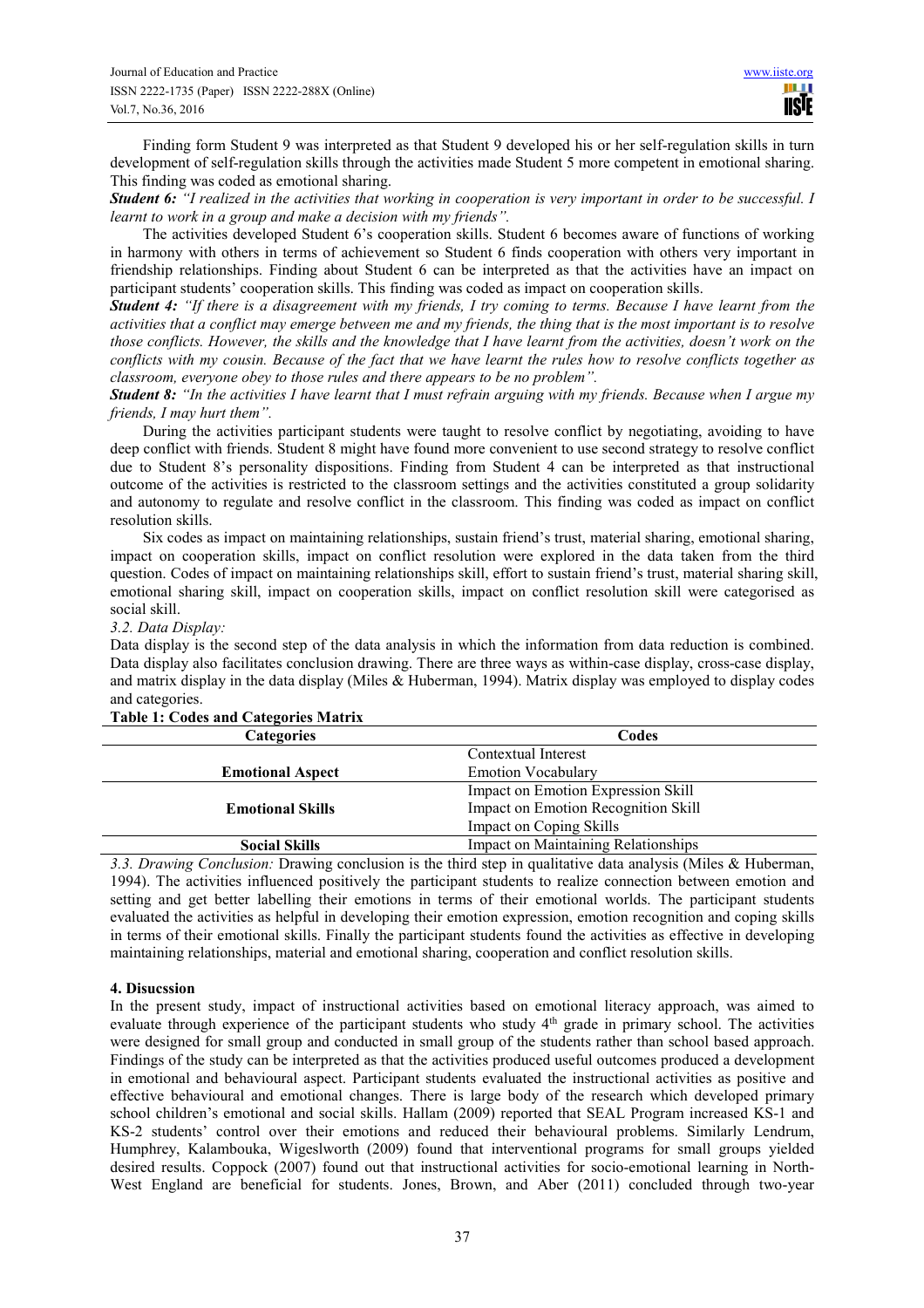Finding form Student 9 was interpreted as that Student 9 developed his or her self-regulation skills in turn development of self-regulation skills through the activities made Student 5 more competent in emotional sharing. This finding was coded as emotional sharing.

*Student 6: "I realized in the activities that working in cooperation is very important in order to be successful. I learnt to work in a group and make a decision with my friends".*

The activities developed Student 6's cooperation skills. Student 6 becomes aware of functions of working in harmony with others in terms of achievement so Student 6 finds cooperation with others very important in friendship relationships. Finding about Student 6 can be interpreted as that the activities have an impact on participant students' cooperation skills. This finding was coded as impact on cooperation skills.

*Student 4: "If there is a disagreement with my friends, I try coming to terms. Because I have learnt from the activities that a conflict may emerge between me and my friends, the thing that is the most important is to resolve those conflicts. However, the skills and the knowledge that I have learnt from the activities, doesn't work on the conflicts with my cousin. Because of the fact that we have learnt the rules how to resolve conflicts together as classroom, everyone obey to those rules and there appears to be no problem".* 

*Student 8: "In the activities I have learnt that I must refrain arguing with my friends. Because when I argue my friends, I may hurt them".*

During the activities participant students were taught to resolve conflict by negotiating, avoiding to have deep conflict with friends. Student 8 might have found more convenient to use second strategy to resolve conflict due to Student 8's personality dispositions. Finding from Student 4 can be interpreted as that instructional outcome of the activities is restricted to the classroom settings and the activities constituted a group solidarity and autonomy to regulate and resolve conflict in the classroom. This finding was coded as impact on conflict resolution skills.

Six codes as impact on maintaining relationships, sustain friend's trust, material sharing, emotional sharing, impact on cooperation skills, impact on conflict resolution were explored in the data taken from the third question. Codes of impact on maintaining relationships skill, effort to sustain friend's trust, material sharing skill, emotional sharing skill, impact on cooperation skills, impact on conflict resolution skill were categorised as social skill.

## *3.2. Data Display:*

Data display is the second step of the data analysis in which the information from data reduction is combined. Data display also facilitates conclusion drawing. There are three ways as within-case display, cross-case display, and matrix display in the data display (Miles & Huberman, 1994). Matrix display was employed to display codes and categories.

| <b>Categories</b>       | Codes                                      |
|-------------------------|--------------------------------------------|
|                         | Contextual Interest                        |
| <b>Emotional Aspect</b> | <b>Emotion Vocabulary</b>                  |
|                         | Impact on Emotion Expression Skill         |
| <b>Emotional Skills</b> | Impact on Emotion Recognition Skill        |
|                         | Impact on Coping Skills                    |
| <b>Social Skills</b>    | <b>Impact on Maintaining Relationships</b> |

## **Table 1: Codes and Categories Matrix**

*3.3. Drawing Conclusion:* Drawing conclusion is the third step in qualitative data analysis (Miles & Huberman, 1994). The activities influenced positively the participant students to realize connection between emotion and setting and get better labelling their emotions in terms of their emotional worlds. The participant students evaluated the activities as helpful in developing their emotion expression, emotion recognition and coping skills in terms of their emotional skills. Finally the participant students found the activities as effective in developing maintaining relationships, material and emotional sharing, cooperation and conflict resolution skills.

## **4. Disucssion**

In the present study, impact of instructional activities based on emotional literacy approach, was aimed to evaluate through experience of the participant students who study 4<sup>th</sup> grade in primary school. The activities were designed for small group and conducted in small group of the students rather than school based approach. Findings of the study can be interpreted as that the activities produced useful outcomes produced a development in emotional and behavioural aspect. Participant students evaluated the instructional activities as positive and effective behavioural and emotional changes. There is large body of the research which developed primary school children's emotional and social skills. Hallam (2009) reported that SEAL Program increased KS-1 and KS-2 students' control over their emotions and reduced their behavioural problems. Similarly Lendrum, Humphrey, Kalambouka, Wigeslworth (2009) found that interventional programs for small groups yielded desired results. Coppock (2007) found out that instructional activities for socio-emotional learning in North-West England are beneficial for students. Jones, Brown, and Aber (2011) concluded through two-year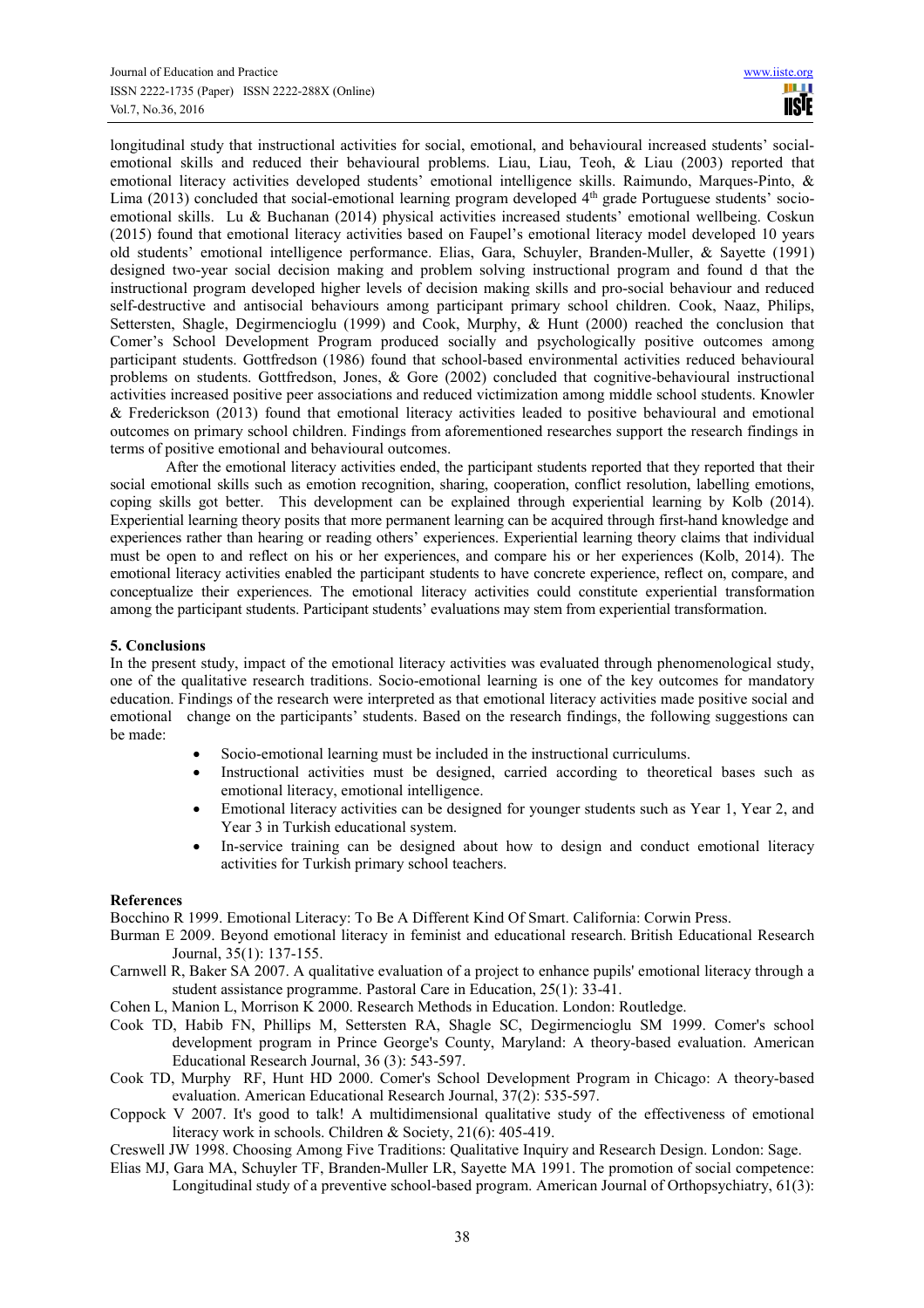longitudinal study that instructional activities for social, emotional, and behavioural increased students' socialemotional skills and reduced their behavioural problems. Liau, Liau, Teoh, & Liau (2003) reported that emotional literacy activities developed students' emotional intelligence skills. Raimundo, Marques-Pinto, & Lima (2013) concluded that social-emotional learning program developed 4<sup>th</sup> grade Portuguese students' socioemotional skills. Lu & Buchanan (2014) physical activities increased students' emotional wellbeing. Coskun (2015) found that emotional literacy activities based on Faupel's emotional literacy model developed 10 years old students' emotional intelligence performance. Elias, Gara, Schuyler, Branden-Muller, & Sayette (1991) designed two-year social decision making and problem solving instructional program and found d that the instructional program developed higher levels of decision making skills and pro-social behaviour and reduced self-destructive and antisocial behaviours among participant primary school children. Cook, Naaz, Philips, Settersten, Shagle, Degirmencioglu (1999) and Cook, Murphy, & Hunt (2000) reached the conclusion that Comer's School Development Program produced socially and psychologically positive outcomes among participant students. Gottfredson (1986) found that school-based environmental activities reduced behavioural problems on students. Gottfredson, Jones, & Gore (2002) concluded that cognitive-behavioural instructional activities increased positive peer associations and reduced victimization among middle school students. Knowler & Frederickson (2013) found that emotional literacy activities leaded to positive behavioural and emotional outcomes on primary school children. Findings from aforementioned researches support the research findings in terms of positive emotional and behavioural outcomes.

After the emotional literacy activities ended, the participant students reported that they reported that their social emotional skills such as emotion recognition, sharing, cooperation, conflict resolution, labelling emotions, coping skills got better. This development can be explained through experiential learning by Kolb (2014). Experiential learning theory posits that more permanent learning can be acquired through first-hand knowledge and experiences rather than hearing or reading others' experiences. Experiential learning theory claims that individual must be open to and reflect on his or her experiences, and compare his or her experiences (Kolb, 2014). The emotional literacy activities enabled the participant students to have concrete experience, reflect on, compare, and conceptualize their experiences. The emotional literacy activities could constitute experiential transformation among the participant students. Participant students' evaluations may stem from experiential transformation.

## **5. Conclusions**

In the present study, impact of the emotional literacy activities was evaluated through phenomenological study, one of the qualitative research traditions. Socio-emotional learning is one of the key outcomes for mandatory education. Findings of the research were interpreted as that emotional literacy activities made positive social and emotional change on the participants' students. Based on the research findings, the following suggestions can be made:

- Socio-emotional learning must be included in the instructional curriculums.
- Instructional activities must be designed, carried according to theoretical bases such as emotional literacy, emotional intelligence.
- Emotional literacy activities can be designed for younger students such as Year 1, Year 2, and Year 3 in Turkish educational system.
- In-service training can be designed about how to design and conduct emotional literacy activities for Turkish primary school teachers.

#### **References**

Bocchino R 1999. Emotional Literacy: To Be A Different Kind Of Smart. California: Corwin Press.

- Burman E 2009. Beyond emotional literacy in feminist and educational research. British Educational Research Journal, 35(1): 137-155.
- Carnwell R, Baker SA 2007. A qualitative evaluation of a project to enhance pupils' emotional literacy through a student assistance programme. Pastoral Care in Education, 25(1): 33-41.
- Cohen L, Manion L, Morrison K 2000. Research Methods in Education. London: Routledge.
- Cook TD, Habib FN, Phillips M, Settersten RA, Shagle SC, Degirmencioglu SM 1999. Comer's school development program in Prince George's County, Maryland: A theory-based evaluation. American Educational Research Journal, 36 (3): 543-597.
- Cook TD, Murphy RF, Hunt HD 2000. Comer's School Development Program in Chicago: A theory-based evaluation. American Educational Research Journal, 37(2): 535-597.
- Coppock V 2007. It's good to talk! A multidimensional qualitative study of the effectiveness of emotional literacy work in schools. Children & Society, 21(6): 405-419.
- Creswell JW 1998. Choosing Among Five Traditions: Qualitative Inquiry and Research Design. London: Sage.
- Elias MJ, Gara MA, Schuyler TF, Branden-Muller LR, Sayette MA 1991. The promotion of social competence: Longitudinal study of a preventive school-based program. American Journal of Orthopsychiatry, 61(3):